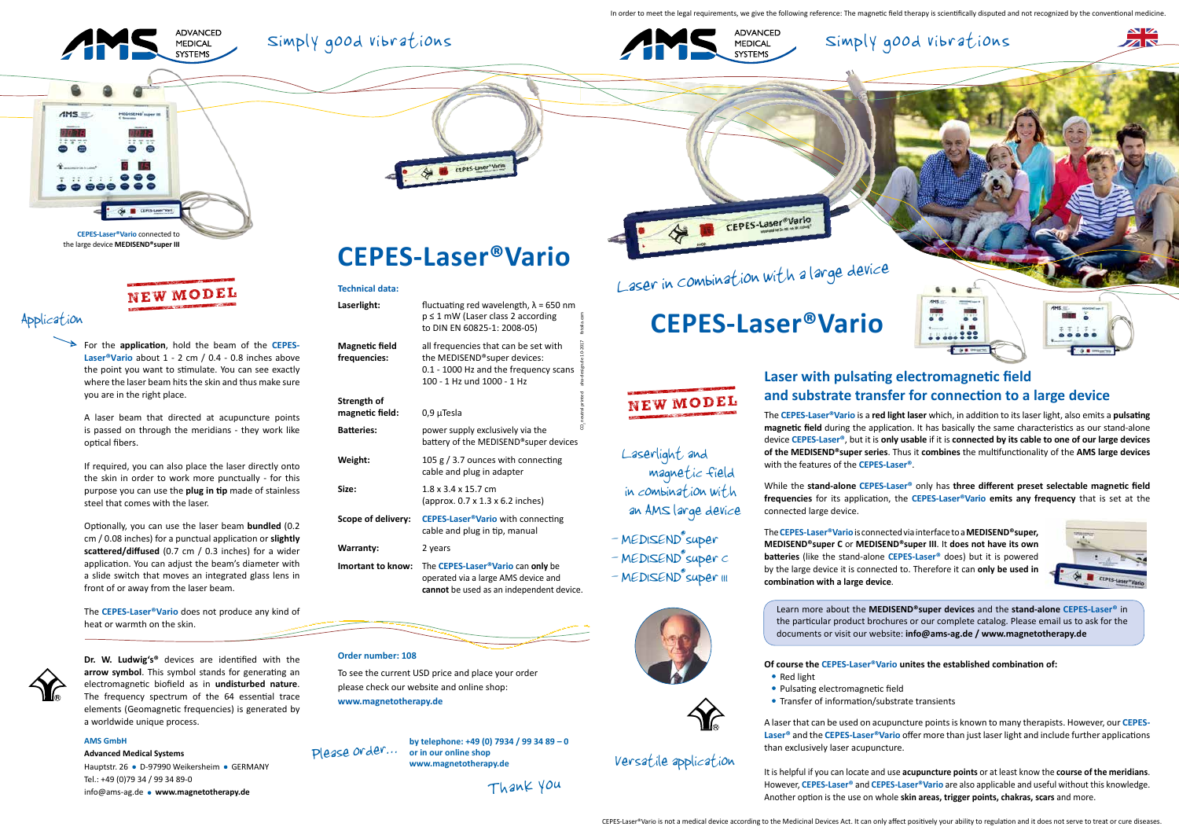In order to meet the legal requirements, we give the following reference: The magnetic field therapy is scientifically disputed and not recognized by the conventional medicine





The **CEPES-Laser®Vario** is a **red light laser** which, in addition to its laser light, also emits a **pulsating magnetic field** during the application. It has basically the same characteristics as our stand-alone device **CEPES-Laser®**, but it is **only usable** if it is **connected by its cable to one of our large devices of the MEDISEND®super series**. Thus it **combines** the multifunctionality of the **AMS large devices**  with the features of the **CEPES-Laser®**.

 $\frac{1}{2}$ 

**Mars E** 

**SEP 2 DIG** 

While the **stand-alone CEPES-Laser®** only has **three different preset selectable magnetic field frequencies** for its application, the **CEPES-Laser®Vario emits any frequency** that is set at the connected large device.

The **CEPES-Laser®Vario** is connected via interface to a **MEDISEND®super, MEDISEND®super C** or **MEDISEND®super III**. It **does not have its own batteries** (like the stand-alone **CEPES-Laser®** does) but it is powered by the large device it is connected to. Therefore it can **only be used in combination with a large device**.

### **Of course the CEPES-Laser®Vario unites the established combination of:**

• Transfer of information/substrate transients

A laser that can be used on acupuncture points is known to many therapists. However, our **CEPES-Laser®** and the **CEPES-Laser®Vario** offer more than just laser light and include further applications than exclusively laser acupuncture.

Hauptstr. 26 · D-97990 Weikersheim · GERMANY Tel.: +49 (0)79 34 / 99 34 89-0 info@ams-ag.de **www.magnetotherapy.de**

It is helpful if you can locate and use **acupuncture points** or at least know the **course of the meridians**. However, **CEPES-Laser®** and **CEPES-Laser®Vario** are also applicable and useful without this knowledge. Another option is the use on whole **skin areas, trigger points, chakras, scars** and more.









 $00000$ 

For the **application**, hold the beam of the **CEPES-Laser®Vario** about 1 - 2 cm / 0.4 - 0.8 inches above the point you want to stimulate. You can see exactly where the laser beam hits the skin and thus make sure you are in the right place.

A laser beam that directed at acupuncture points is passed on through the meridians - they work like optical fibers.

> - MED1SEND® super - MEDISEND<sup>®</sup>super c

- MEDISEND<sup>e</sup>super III





If required, you can also place the laser directly onto the skin in order to work more punctually - for this purpose you can use the **plug in tip** made of stainless steel that comes with the laser.

Optionally, you can use the laser beam **bundled** (0.2 cm / 0.08 inches) for a punctual application or **slightly scattered/diffused** (0.7 cm / 0.3 inches) for a wider application. You can adjust the beam's diameter with a slide switch that moves an integrated glass lens in front of or away from the laser beam.

The **CEPES-Laser®Vario** does not produce any kind of heat or warmth on the skin.



**Dr. W. Ludwig's®** devices are identified with the **arrow symbol**. This symbol stands for generating an electromagnetic biofield as in **undisturbed nature**. The frequency spectrum of the 64 essential trace elements (Geomagnetic frequencies) is generated by a worldwide unique process.

### **AMS GmbH**

### **Advanced Medical Systems**

### **Technical data:**

| Laserlight:                    | fluctuating red wavelength, $\lambda$ = 650 nm<br>$p \leq 1$ mW (Laser class 2 according<br>to DIN EN 60825-1: 2008-05)                    | fotolia.com                     |
|--------------------------------|--------------------------------------------------------------------------------------------------------------------------------------------|---------------------------------|
| Magnetic field<br>frequencies: | all frequencies that can be set with<br>the MEDISEND®super devices:<br>0.1 - 1000 Hz and the frequency scans<br>100 - 1 Hz und 1000 - 1 Hz | aha-design.de 10-2017           |
| Strength of<br>magnetic field: | $0,9 \mu$ Tesla                                                                                                                            | CO <sub>2</sub> neutral printed |
| <b>Batteries:</b>              | power supply exclusively via the<br>battery of the MEDISEND® super devices                                                                 |                                 |
| Weight:                        | 105 $g/3.7$ ounces with connecting<br>cable and plug in adapter                                                                            |                                 |
| Size:                          | $1.8 \times 3.4 \times 15.7$ cm<br>(approx. 0.7 x 1.3 x 6.2 inches)                                                                        |                                 |
| Scope of delivery:             | <b>CEPES-Laser<sup>®</sup>Vario</b> with connecting<br>cable and plug in tip, manual                                                       |                                 |
| <b>Warranty:</b>               | 2 years                                                                                                                                    |                                 |
| Imortant to know:              | The CEPES-Laser <sup>®</sup> Vario can only be<br>operated via a large AMS device and<br>cannot be used as an independent device.          |                                 |

# **Order number: 108**

To see the current USD price and place your order please check our website and online shop: **www.magnetotherapy.de**

# Versatile application

Learn more about the **MEDISEND®super devices** and the **stand-alone CEPES-Laser®** in the particular product brochures or our complete catalog. Please email us to ask for the documents or visit our website: **info@ams-ag.de / www.magnetotherapy.de**

- Red light
- Pulsating electromagnetic field

**by telephone: +49 (0) 7934 / 99 34 89 – 0** Please order... or in our online shop **www.magnetotherapy.de**

Thank you

# Application

# **CEPES-Laser®Vario**

CEPES-Laser\*Vari





 Laserlight and magnetic field in combination with an AMS large device

# **CEPES-Laser®Vario**

# NEW MODEL

Laser in Combination with a large device

CEPES-Laser®Vario